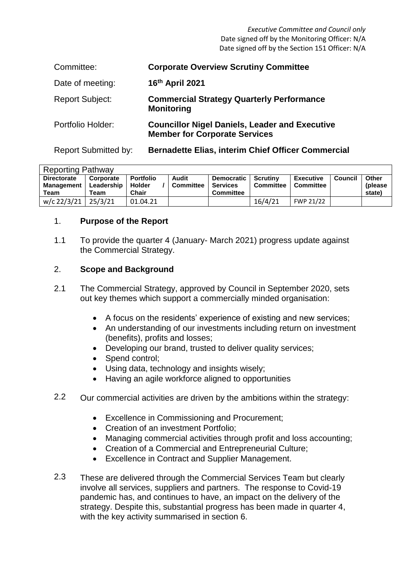*Executive Committee and Council only* Date signed off by the Monitoring Officer: N/A Date signed off by the Section 151 Officer: N/A

| Committee:                  | <b>Corporate Overview Scrutiny Committee</b>                                                  |
|-----------------------------|-----------------------------------------------------------------------------------------------|
| Date of meeting:            | 16th April 2021                                                                               |
| <b>Report Subject:</b>      | <b>Commercial Strategy Quarterly Performance</b><br><b>Monitoring</b>                         |
| Portfolio Holder:           | <b>Councillor Nigel Daniels, Leader and Executive</b><br><b>Member for Corporate Services</b> |
| <b>Report Submitted by:</b> | <b>Bernadette Elias, interim Chief Officer Commercial</b>                                     |

| <b>Reporting Pathway</b>                        |                                 |                                            |                           |                                                          |                                     |                                      |         |                            |  |  |
|-------------------------------------------------|---------------------------------|--------------------------------------------|---------------------------|----------------------------------------------------------|-------------------------------------|--------------------------------------|---------|----------------------------|--|--|
| <b>Directorate</b><br><b>Management</b><br>Team | Corporate<br>Leadership<br>Team | <b>Portfolio</b><br><b>Holder</b><br>Chair | Audit<br><b>Committee</b> | <b>Democratic</b><br><b>Services</b><br><b>Committee</b> | <b>Scrutiny</b><br><b>Committee</b> | <b>Executive</b><br><b>Committee</b> | Council | Other<br>(please<br>state) |  |  |
| w/c 22/3/21                                     | 25/3/21                         | 01.04.21                                   |                           |                                                          | 16/4/21                             | FWP 21/22                            |         |                            |  |  |

#### 1. **Purpose of the Report**

1.1 To provide the quarter 4 (January- March 2021) progress update against the Commercial Strategy.

#### 2. **Scope and Background**

- 2.1 The Commercial Strategy, approved by Council in September 2020, sets out key themes which support a commercially minded organisation:
	- A focus on the residents' experience of existing and new services;
	- An understanding of our investments including return on investment (benefits), profits and losses;
	- Developing our brand, trusted to deliver quality services:
	- Spend control:
	- Using data, technology and insights wisely;
	- Having an agile workforce aligned to opportunities
- 2.2 Our commercial activities are driven by the ambitions within the strategy:
	- Excellence in Commissioning and Procurement;
	- Creation of an investment Portfolio;
	- Managing commercial activities through profit and loss accounting;
	- Creation of a Commercial and Entrepreneurial Culture;
	- Excellence in Contract and Supplier Management.
- 2.3 These are delivered through the Commercial Services Team but clearly involve all services, suppliers and partners. The response to Covid-19 pandemic has, and continues to have, an impact on the delivery of the strategy. Despite this, substantial progress has been made in quarter 4, with the key activity summarised in section 6.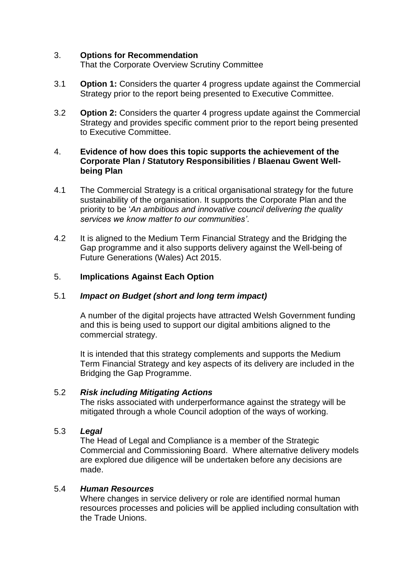#### 3. **Options for Recommendation**

That the Corporate Overview Scrutiny Committee

- 3.1 **Option 1:** Considers the quarter 4 progress update against the Commercial Strategy prior to the report being presented to Executive Committee.
- 3.2 **Option 2:** Considers the quarter 4 progress update against the Commercial Strategy and provides specific comment prior to the report being presented to Executive Committee.

#### 4. **Evidence of how does this topic supports the achievement of the Corporate Plan / Statutory Responsibilities / Blaenau Gwent Wellbeing Plan**

- 4.1 The Commercial Strategy is a critical organisational strategy for the future sustainability of the organisation. It supports the Corporate Plan and the priority to be '*An ambitious and innovative council delivering the quality services we know matter to our communities'*.
- 4.2 It is aligned to the Medium Term Financial Strategy and the Bridging the Gap programme and it also supports delivery against the Well-being of Future Generations (Wales) Act 2015.

### 5. **Implications Against Each Option**

### 5.1 *Impact on Budget (short and long term impact)*

A number of the digital projects have attracted Welsh Government funding and this is being used to support our digital ambitions aligned to the commercial strategy.

It is intended that this strategy complements and supports the Medium Term Financial Strategy and key aspects of its delivery are included in the Bridging the Gap Programme.

### 5.2 *Risk including Mitigating Actions*

The risks associated with underperformance against the strategy will be mitigated through a whole Council adoption of the ways of working.

### 5.3 *Legal*

The Head of Legal and Compliance is a member of the Strategic Commercial and Commissioning Board. Where alternative delivery models are explored due diligence will be undertaken before any decisions are made.

### 5.4 *Human Resources*

Where changes in service delivery or role are identified normal human resources processes and policies will be applied including consultation with the Trade Unions.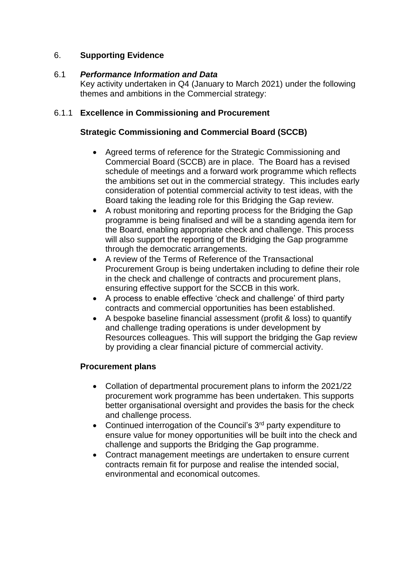# 6. **Supporting Evidence**

#### 6.1 *Performance Information and Data*

Key activity undertaken in Q4 (January to March 2021) under the following themes and ambitions in the Commercial strategy:

# 6.1.1 **Excellence in Commissioning and Procurement**

# **Strategic Commissioning and Commercial Board (SCCB)**

- Agreed terms of reference for the Strategic Commissioning and Commercial Board (SCCB) are in place. The Board has a revised schedule of meetings and a forward work programme which reflects the ambitions set out in the commercial strategy. This includes early consideration of potential commercial activity to test ideas, with the Board taking the leading role for this Bridging the Gap review.
- A robust monitoring and reporting process for the Bridging the Gap programme is being finalised and will be a standing agenda item for the Board, enabling appropriate check and challenge. This process will also support the reporting of the Bridging the Gap programme through the democratic arrangements.
- A review of the Terms of Reference of the Transactional Procurement Group is being undertaken including to define their role in the check and challenge of contracts and procurement plans, ensuring effective support for the SCCB in this work.
- A process to enable effective 'check and challenge' of third party contracts and commercial opportunities has been established.
- A bespoke baseline financial assessment (profit & loss) to quantify and challenge trading operations is under development by Resources colleagues. This will support the bridging the Gap review by providing a clear financial picture of commercial activity.

### **Procurement plans**

- Collation of departmental procurement plans to inform the 2021/22 procurement work programme has been undertaken. This supports better organisational oversight and provides the basis for the check and challenge process.
- Continued interrogation of the Council's  $3<sup>rd</sup>$  party expenditure to ensure value for money opportunities will be built into the check and challenge and supports the Bridging the Gap programme.
- Contract management meetings are undertaken to ensure current contracts remain fit for purpose and realise the intended social, environmental and economical outcomes.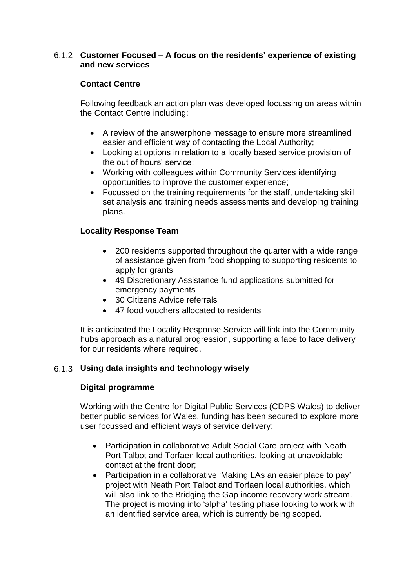### 6.1.2 **Customer Focused – A focus on the residents' experience of existing and new services**

# **Contact Centre**

Following feedback an action plan was developed focussing on areas within the Contact Centre including:

- A review of the answerphone message to ensure more streamlined easier and efficient way of contacting the Local Authority;
- Looking at options in relation to a locally based service provision of the out of hours' service;
- Working with colleagues within Community Services identifying opportunities to improve the customer experience;
- Focussed on the training requirements for the staff, undertaking skill set analysis and training needs assessments and developing training plans.

# **Locality Response Team**

- 200 residents supported throughout the quarter with a wide range of assistance given from food shopping to supporting residents to apply for grants
- 49 Discretionary Assistance fund applications submitted for emergency payments
- 30 Citizens Advice referrals
- 47 food vouchers allocated to residents

It is anticipated the Locality Response Service will link into the Community hubs approach as a natural progression, supporting a face to face delivery for our residents where required.

# 6.1.3 **Using data insights and technology wisely**

### **Digital programme**

Working with the Centre for Digital Public Services (CDPS Wales) to deliver better public services for Wales, funding has been secured to explore more user focussed and efficient ways of service delivery:

- Participation in collaborative Adult Social Care project with Neath Port Talbot and Torfaen local authorities, looking at unavoidable contact at the front door;
- Participation in a collaborative 'Making LAs an easier place to pay' project with Neath Port Talbot and Torfaen local authorities, which will also link to the Bridging the Gap income recovery work stream. The project is moving into 'alpha' testing phase looking to work with an identified service area, which is currently being scoped.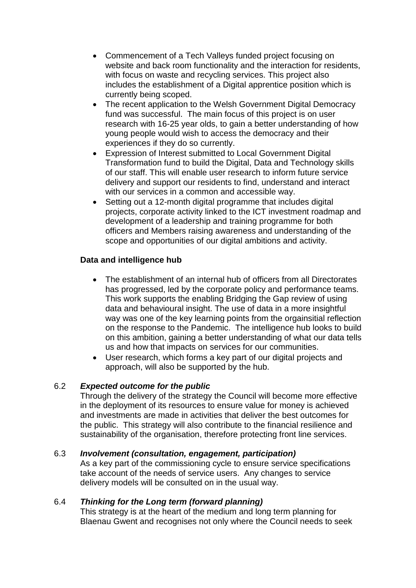- Commencement of a Tech Valleys funded project focusing on website and back room functionality and the interaction for residents, with focus on waste and recycling services. This project also includes the establishment of a Digital apprentice position which is currently being scoped.
- The recent application to the Welsh Government Digital Democracy fund was successful. The main focus of this project is on user research with 16-25 year olds, to gain a better understanding of how young people would wish to access the democracy and their experiences if they do so currently.
- Expression of Interest submitted to Local Government Digital Transformation fund to build the Digital, Data and Technology skills of our staff. This will enable user research to inform future service delivery and support our residents to find, understand and interact with our services in a common and accessible way.
- Setting out a 12-month digital programme that includes digital projects, corporate activity linked to the ICT investment roadmap and development of a leadership and training programme for both officers and Members raising awareness and understanding of the scope and opportunities of our digital ambitions and activity.

# **Data and intelligence hub**

- The establishment of an internal hub of officers from all Directorates has progressed, led by the corporate policy and performance teams. This work supports the enabling Bridging the Gap review of using data and behavioural insight. The use of data in a more insightful way was one of the key learning points from the orgainsitial reflection on the response to the Pandemic. The intelligence hub looks to build on this ambition, gaining a better understanding of what our data tells us and how that impacts on services for our communities.
- User research, which forms a key part of our digital projects and approach, will also be supported by the hub.

# 6.2 *Expected outcome for the public*

Through the delivery of the strategy the Council will become more effective in the deployment of its resources to ensure value for money is achieved and investments are made in activities that deliver the best outcomes for the public. This strategy will also contribute to the financial resilience and sustainability of the organisation, therefore protecting front line services.

### 6.3 *Involvement (consultation, engagement, participation)*

As a key part of the commissioning cycle to ensure service specifications take account of the needs of service users. Any changes to service delivery models will be consulted on in the usual way.

### 6.4 *Thinking for the Long term (forward planning)*

This strategy is at the heart of the medium and long term planning for Blaenau Gwent and recognises not only where the Council needs to seek